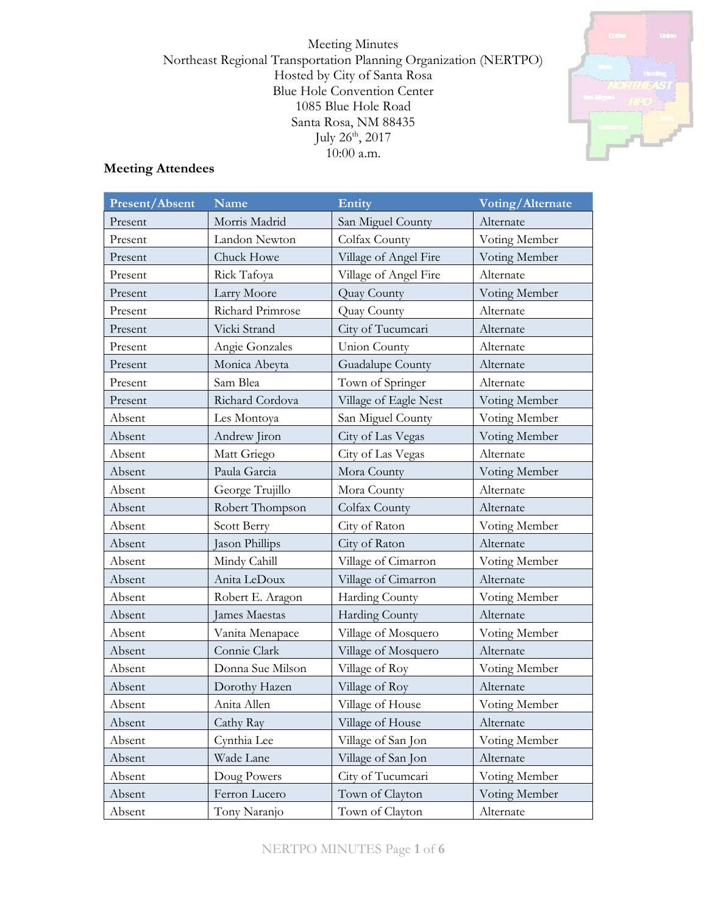Meeting Minutes Northeast Regional Transportation Planning Organization (NERTPO) Hosted by City of Santa Rosa Blue Hole Convention Center 1085 Blue Hole Road Santa Rosa, NM 88435 July  $26^{\text{th}}$ ,  $2017$ 10:00 a.m.



# **Meeting Attendees**

| Present/Absent | Name             | Entity                | Voting/Alternate |
|----------------|------------------|-----------------------|------------------|
| Present        | Morris Madrid    | San Miguel County     | Alternate        |
| Present        | Landon Newton    | Colfax County         | Voting Member    |
| Present        | Chuck Howe       | Village of Angel Fire | Voting Member    |
| Present        | Rick Tafoya      | Village of Angel Fire | Alternate        |
| Present        | Larry Moore      | Quay County           | Voting Member    |
| Present        | Richard Primrose | <b>Quay County</b>    | Alternate        |
| Present        | Vicki Strand     | City of Tucumcari     | Alternate        |
| Present        | Angie Gonzales   | Union County          | Alternate        |
| Present        | Monica Abeyta    | Guadalupe County      | Alternate        |
| Present        | Sam Blea         | Town of Springer      | Alternate        |
| Present        | Richard Cordova  | Village of Eagle Nest | Voting Member    |
| Absent         | Les Montoya      | San Miguel County     | Voting Member    |
| Absent         | Andrew Jiron     | City of Las Vegas     | Voting Member    |
| Absent         | Matt Griego      | City of Las Vegas     | Alternate        |
| Absent         | Paula Garcia     | Mora County           | Voting Member    |
| Absent         | George Trujillo  | Mora County           | Alternate        |
| Absent         | Robert Thompson  | Colfax County         | Alternate        |
| Absent         | Scott Berry      | City of Raton         | Voting Member    |
| Absent         | Jason Phillips   | City of Raton         | Alternate        |
| Absent         | Mindy Cahill     | Village of Cimarron   | Voting Member    |
| Absent         | Anita LeDoux     | Village of Cimarron   | Alternate        |
| Absent         | Robert E. Aragon | Harding County        | Voting Member    |
| Absent         | James Maestas    | Harding County        | Alternate        |
| Absent         | Vanita Menapace  | Village of Mosquero   | Voting Member    |
| Absent         | Connie Clark     | Village of Mosquero   | Alternate        |
| Absent         | Donna Sue Milson | Village of Roy        | Voting Member    |
| Absent         | Dorothy Hazen    | Village of Roy        | Alternate        |
| Absent         | Anita Allen      | Village of House      | Voting Member    |
| Absent         | Cathy Ray        | Village of House      | Alternate        |
| Absent         | Cynthia Lee      | Village of San Jon    | Voting Member    |
| Absent         | Wade Lane        | Village of San Jon    | Alternate        |
| Absent         | Doug Powers      | City of Tucumcari     | Voting Member    |
| Absent         | Ferron Lucero    | Town of Clayton       | Voting Member    |
| Absent         | Tony Naranjo     | Town of Clayton       | Alternate        |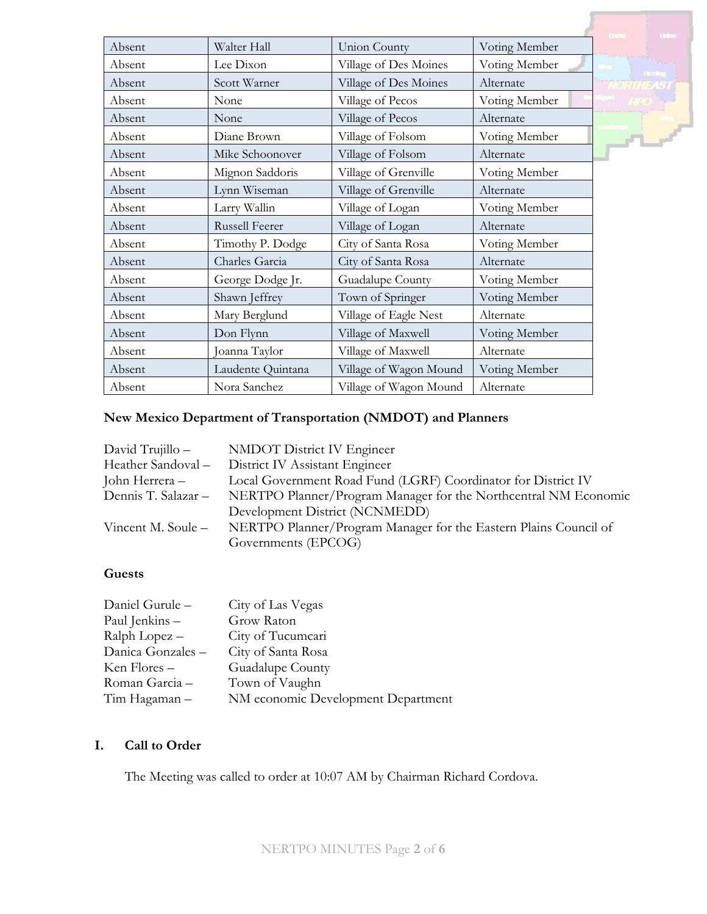|        |                       |                        |               | Union:           |
|--------|-----------------------|------------------------|---------------|------------------|
| Absent | Walter Hall           | <b>Union County</b>    | Voting Member |                  |
| Absent | Lee Dixon             | Village of Des Moines  | Voting Member | <b>Harding</b>   |
| Absent | Scott Warner          | Village of Des Moines  | Alternate     | <b>NORTHEAST</b> |
| Absent | None                  | Village of Pecos       | Voting Member |                  |
| Absent | None                  | Village of Pecos       | Alternate     |                  |
| Absent | Diane Brown           | Village of Folsom      | Voting Member | $\sqrt{1-x^2}$   |
| Absent | Mike Schoonover       | Village of Folsom      | Alternate     |                  |
| Absent | Mignon Saddoris       | Village of Grenville   | Voting Member |                  |
| Absent | Lynn Wiseman          | Village of Grenville   | Alternate     |                  |
| Absent | Larry Wallin          | Village of Logan       | Voting Member |                  |
| Absent | <b>Russell Feerer</b> | Village of Logan       | Alternate     |                  |
| Absent | Timothy P. Dodge      | City of Santa Rosa     | Voting Member |                  |
| Absent | Charles Garcia        | City of Santa Rosa     | Alternate     |                  |
| Absent | George Dodge Jr.      | Guadalupe County       | Voting Member |                  |
| Absent | Shawn Jeffrey         | Town of Springer       | Voting Member |                  |
| Absent | Mary Berglund         | Village of Eagle Nest  | Alternate     |                  |
| Absent | Don Flynn             | Village of Maxwell     | Voting Member |                  |
| Absent | Joanna Taylor         | Village of Maxwell     | Alternate     |                  |
| Absent | Laudente Quintana     | Village of Wagon Mound | Voting Member |                  |
| Absent | Nora Sanchez          | Village of Wagon Mound | Alternate     |                  |

# **New Mexico Department of Transportation (NMDOT) and Planners**

| David Trujillo -   | <b>NMDOT District IV Engineer</b>                                                   |
|--------------------|-------------------------------------------------------------------------------------|
| Heather Sandoval - | District IV Assistant Engineer                                                      |
| John Herrera –     | Local Government Road Fund (LGRF) Coordinator for District IV                       |
|                    | Dennis T. Salazar – NERTPO Planner/Program Manager for the Northcentral NM Economic |
|                    | Development District (NCNMEDD)                                                      |
| Vincent M. Soule – | NERTPO Planner/Program Manager for the Eastern Plains Council of                    |
|                    | Governments (EPCOG)                                                                 |

# **Guests**

| Daniel Gurule-    | City of Las Vegas                  |
|-------------------|------------------------------------|
| Paul Jenkins -    | Grow Raton                         |
| Ralph Lopez -     | City of Tucumcari                  |
| Danica Gonzales - | City of Santa Rosa                 |
| Ken Flores –      | Guadalupe County                   |
| Roman Garcia -    | Town of Vaughn                     |
| Tim Hagaman –     | NM economic Development Department |

# **I. Call to Order**

The Meeting was called to order at 10:07 AM by Chairman Richard Cordova.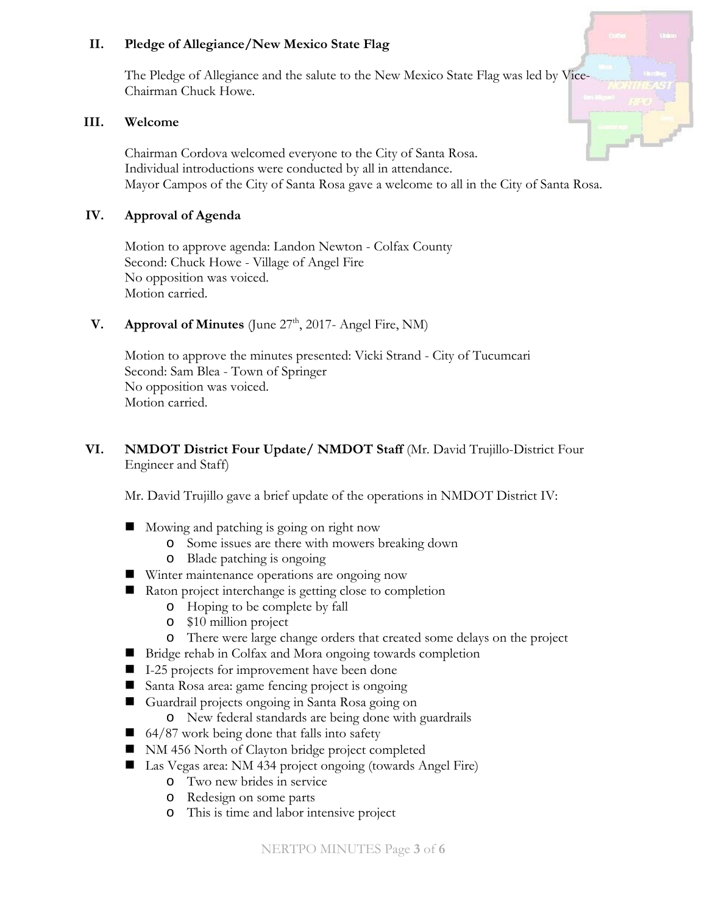## **II. Pledge of Allegiance/New Mexico State Flag**

The Pledge of Allegiance and the salute to the New Mexico State Flag was led by Vice-Chairman Chuck Howe.

#### **III. Welcome**

Chairman Cordova welcomed everyone to the City of Santa Rosa. Individual introductions were conducted by all in attendance. Mayor Campos of the City of Santa Rosa gave a welcome to all in the City of Santa Rosa.

## **IV. Approval of Agenda**

Motion to approve agenda: Landon Newton - Colfax County Second: Chuck Howe - Village of Angel Fire No opposition was voiced. Motion carried.

**V. Approval of Minutes** (June 27<sup>th</sup>, 2017- Angel Fire, NM)

Motion to approve the minutes presented: Vicki Strand - City of Tucumcari Second: Sam Blea - Town of Springer No opposition was voiced. Motion carried.

## **VI. NMDOT District Four Update/ NMDOT Staff** (Mr. David Trujillo-District Four Engineer and Staff)

Mr. David Trujillo gave a brief update of the operations in NMDOT District IV:

- Mowing and patching is going on right now
	- o Some issues are there with mowers breaking down
	- o Blade patching is ongoing
- Winter maintenance operations are ongoing now
- Raton project interchange is getting close to completion
	- o Hoping to be complete by fall
	- o \$10 million project
	- o There were large change orders that created some delays on the project
- Bridge rehab in Colfax and Mora ongoing towards completion
- I-25 projects for improvement have been done
- Santa Rosa area: game fencing project is ongoing
- Guardrail projects ongoing in Santa Rosa going on
	- o New federal standards are being done with guardrails
- $\Box$  64/87 work being done that falls into safety
- NM 456 North of Clayton bridge project completed
- Las Vegas area: NM 434 project ongoing (towards Angel Fire)
	- o Two new brides in service
	- o Redesign on some parts
	- o This is time and labor intensive project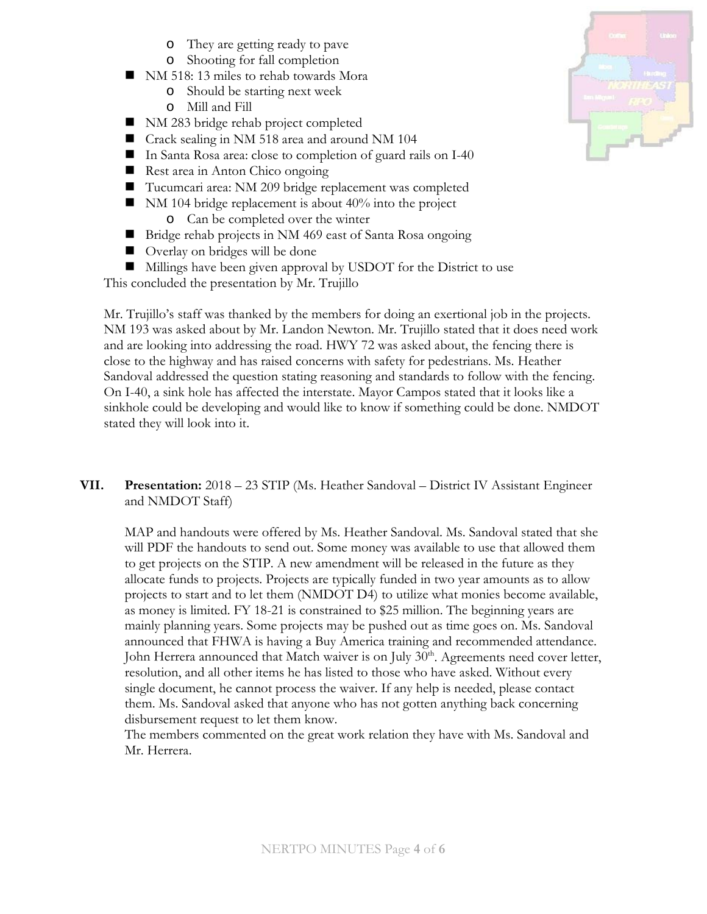- o They are getting ready to pave
- o Shooting for fall completion
- NM 518: 13 miles to rehab towards Mora
	- o Should be starting next week
	- o Mill and Fill
- NM 283 bridge rehab project completed
- Crack sealing in NM 518 area and around NM 104
- In Santa Rosa area: close to completion of guard rails on I-40
- Rest area in Anton Chico ongoing
- Tucumcari area: NM 209 bridge replacement was completed
- $\blacksquare$  NM 104 bridge replacement is about 40% into the project
	- o Can be completed over the winter
- Bridge rehab projects in NM 469 east of Santa Rosa ongoing
- Overlay on bridges will be done
- Millings have been given approval by USDOT for the District to use

This concluded the presentation by Mr. Trujillo

Mr. Trujillo's staff was thanked by the members for doing an exertional job in the projects. NM 193 was asked about by Mr. Landon Newton. Mr. Trujillo stated that it does need work and are looking into addressing the road. HWY 72 was asked about, the fencing there is close to the highway and has raised concerns with safety for pedestrians. Ms. Heather Sandoval addressed the question stating reasoning and standards to follow with the fencing. On I-40, a sink hole has affected the interstate. Mayor Campos stated that it looks like a sinkhole could be developing and would like to know if something could be done. NMDOT stated they will look into it.

**VII. Presentation:** 2018 – 23 STIP (Ms. Heather Sandoval – District IV Assistant Engineer and NMDOT Staff)

MAP and handouts were offered by Ms. Heather Sandoval. Ms. Sandoval stated that she will PDF the handouts to send out. Some money was available to use that allowed them to get projects on the STIP. A new amendment will be released in the future as they allocate funds to projects. Projects are typically funded in two year amounts as to allow projects to start and to let them (NMDOT D4) to utilize what monies become available, as money is limited. FY 18-21 is constrained to \$25 million. The beginning years are mainly planning years. Some projects may be pushed out as time goes on. Ms. Sandoval announced that FHWA is having a Buy America training and recommended attendance. John Herrera announced that Match waiver is on July 30<sup>th</sup>. Agreements need cover letter, resolution, and all other items he has listed to those who have asked. Without every single document, he cannot process the waiver. If any help is needed, please contact them. Ms. Sandoval asked that anyone who has not gotten anything back concerning disbursement request to let them know.

The members commented on the great work relation they have with Ms. Sandoval and Mr. Herrera.

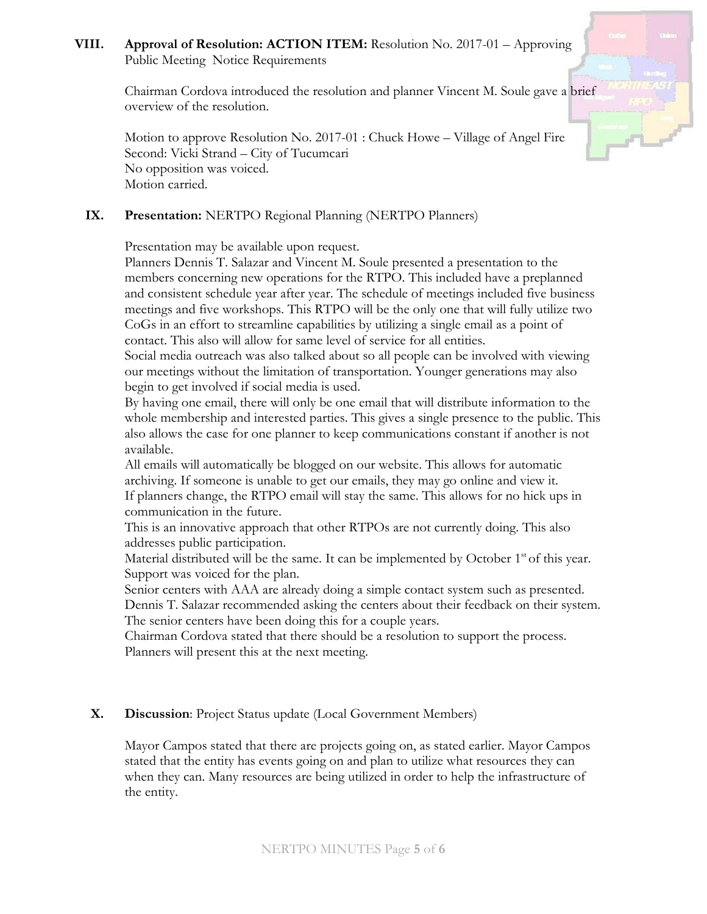## **VIII. Approval of Resolution: ACTION ITEM:** Resolution No. 2017-01 – Approving Public Meeting Notice Requirements

Chairman Cordova introduced the resolution and planner Vincent M. Soule gave a brief overview of the resolution.

Motion to approve Resolution No. 2017-01 : Chuck Howe – Village of Angel Fire Second: Vicki Strand – City of Tucumcari No opposition was voiced. Motion carried.

## **IX. Presentation:** NERTPO Regional Planning (NERTPO Planners)

Presentation may be available upon request.

Planners Dennis T. Salazar and Vincent M. Soule presented a presentation to the members concerning new operations for the RTPO. This included have a preplanned and consistent schedule year after year. The schedule of meetings included five business meetings and five workshops. This RTPO will be the only one that will fully utilize two CoGs in an effort to streamline capabilities by utilizing a single email as a point of contact. This also will allow for same level of service for all entities.

Social media outreach was also talked about so all people can be involved with viewing our meetings without the limitation of transportation. Younger generations may also begin to get involved if social media is used.

By having one email, there will only be one email that will distribute information to the whole membership and interested parties. This gives a single presence to the public. This also allows the case for one planner to keep communications constant if another is not available.

All emails will automatically be blogged on our website. This allows for automatic archiving. If someone is unable to get our emails, they may go online and view it. If planners change, the RTPO email will stay the same. This allows for no hick ups in communication in the future.

This is an innovative approach that other RTPOs are not currently doing. This also addresses public participation.

Material distributed will be the same. It can be implemented by October  $1<sup>st</sup>$  of this year. Support was voiced for the plan.

Senior centers with AAA are already doing a simple contact system such as presented. Dennis T. Salazar recommended asking the centers about their feedback on their system. The senior centers have been doing this for a couple years.

Chairman Cordova stated that there should be a resolution to support the process. Planners will present this at the next meeting.

### **X. Discussion**: Project Status update (Local Government Members)

Mayor Campos stated that there are projects going on, as stated earlier. Mayor Campos stated that the entity has events going on and plan to utilize what resources they can when they can. Many resources are being utilized in order to help the infrastructure of the entity.